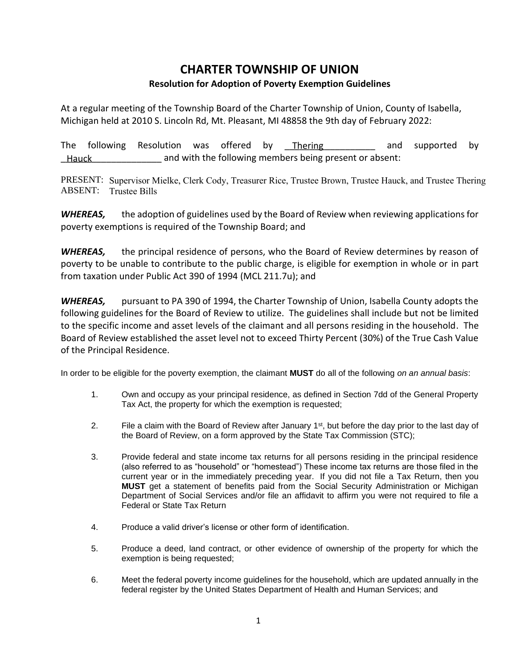## **CHARTER TOWNSHIP OF UNION Resolution for Adoption of Poverty Exemption Guidelines**

At a regular meeting of the Township Board of the Charter Township of Union, County of Isabella, Michigan held at 2010 S. Lincoln Rd, Mt. Pleasant, MI 48858 the 9th day of February 2022:

The following Resolution was offered by Thering and supported by and with the following members being present or absent: Thering Hauck

PRESENT: Supervisor Mielke, Clerk Cody, Treasurer Rice, Trustee Brown, Trustee Hauck, and Trustee Thering ABSENT: Trustee Bills

*WHEREAS,* the adoption of guidelines used by the Board of Review when reviewing applications for poverty exemptions is required of the Township Board; and

*WHEREAS,* the principal residence of persons, who the Board of Review determines by reason of poverty to be unable to contribute to the public charge, is eligible for exemption in whole or in part from taxation under Public Act 390 of 1994 (MCL 211.7u); and

*WHEREAS,* pursuant to PA 390 of 1994, the Charter Township of Union, Isabella County adopts the following guidelines for the Board of Review to utilize. The guidelines shall include but not be limited to the specific income and asset levels of the claimant and all persons residing in the household. The Board of Review established the asset level not to exceed Thirty Percent (30%) of the True Cash Value of the Principal Residence.

In order to be eligible for the poverty exemption, the claimant **MUST** do all of the following *on an annual basis*:

- 1. Own and occupy as your principal residence, as defined in Section 7dd of the General Property Tax Act, the property for which the exemption is requested;
- 2. File a claim with the Board of Review after January  $1<sup>st</sup>$ , but before the day prior to the last day of the Board of Review, on a form approved by the State Tax Commission (STC);
- 3. Provide federal and state income tax returns for all persons residing in the principal residence (also referred to as "household" or "homestead") These income tax returns are those filed in the current year or in the immediately preceding year. If you did not file a Tax Return, then you **MUST** get a statement of benefits paid from the Social Security Administration or Michigan Department of Social Services and/or file an affidavit to affirm you were not required to file a Federal or State Tax Return
- 4. Produce a valid driver's license or other form of identification.
- 5. Produce a deed, land contract, or other evidence of ownership of the property for which the exemption is being requested;
- 6. Meet the federal poverty income guidelines for the household, which are updated annually in the federal register by the United States Department of Health and Human Services; and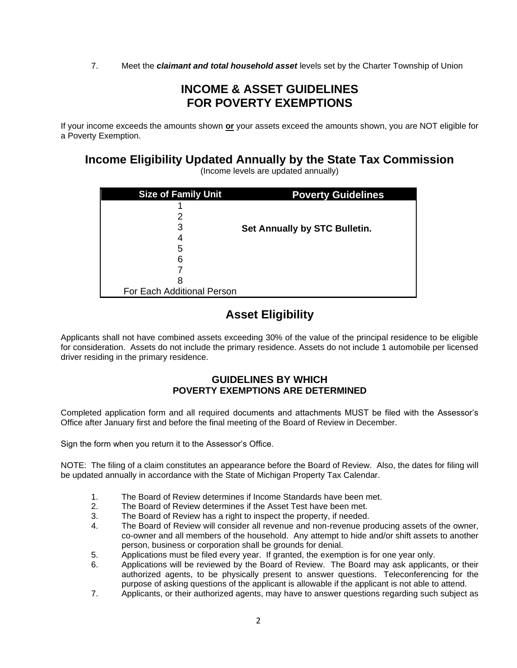7. Meet the *claimant and total household asset* levels set by the Charter Township of Union

## **INCOME & ASSET GUIDELINES FOR POVERTY EXEMPTIONS**

If your income exceeds the amounts shown **or** your assets exceed the amounts shown, you are NOT eligible for a Poverty Exemption.

**Income Eligibility Updated Annually by the State Tax Commission**

(Income levels are updated annually)

| <b>Size of Family Unit</b> | <b>Poverty Guidelines</b>     |
|----------------------------|-------------------------------|
|                            |                               |
|                            |                               |
| 3                          | Set Annually by STC Bulletin. |
| 4                          |                               |
| 5                          |                               |
| 6                          |                               |
|                            |                               |
| 8                          |                               |
| For Each Additional Person |                               |

## **Asset Eligibility**

Applicants shall not have combined assets exceeding 30% of the value of the principal residence to be eligible for consideration. Assets do not include the primary residence. Assets do not include 1 automobile per licensed driver residing in the primary residence.

## **GUIDELINES BY WHICH POVERTY EXEMPTIONS ARE DETERMINED**

Completed application form and all required documents and attachments MUST be filed with the Assessor's Office after January first and before the final meeting of the Board of Review in December.

Sign the form when you return it to the Assessor's Office.

NOTE: The filing of a claim constitutes an appearance before the Board of Review. Also, the dates for filing will be updated annually in accordance with the State of Michigan Property Tax Calendar.

- 1. The Board of Review determines if Income Standards have been met.
- 2. The Board of Review determines if the Asset Test have been met.
- 3. The Board of Review has a right to inspect the property, if needed.
- 4. The Board of Review will consider all revenue and non-revenue producing assets of the owner, co-owner and all members of the household. Any attempt to hide and/or shift assets to another person, business or corporation shall be grounds for denial.
- 5. Applications must be filed every year. If granted, the exemption is for one year only.
- 6. Applications will be reviewed by the Board of Review. The Board may ask applicants, or their authorized agents, to be physically present to answer questions. Teleconferencing for the purpose of asking questions of the applicant is allowable if the applicant is not able to attend.
- 7. Applicants, or their authorized agents, may have to answer questions regarding such subject as